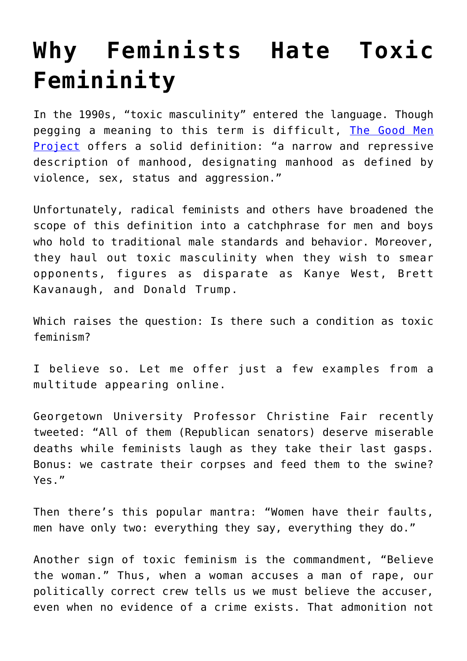## **[Why Feminists Hate Toxic](https://intellectualtakeout.org/2018/10/why-feminists-hate-toxic-femininity/) [Femininity](https://intellectualtakeout.org/2018/10/why-feminists-hate-toxic-femininity/)**

In the 1990s, "toxic masculinity" entered the language. Though pegging a meaning to this term is difficult, [The Good Men](https://goodmenproject.com/) [Project](https://goodmenproject.com/) offers a solid definition: "a narrow and repressive description of manhood, designating manhood as defined by violence, sex, status and aggression."

Unfortunately, radical feminists and others have broadened the scope of this definition into a catchphrase for men and boys who hold to traditional male standards and behavior. Moreover, they haul out toxic masculinity when they wish to smear opponents, figures as disparate as Kanye West, Brett Kavanaugh, and Donald Trump.

Which raises the question: Is there such a condition as toxic feminism?

I believe so. Let me offer just a few examples from a multitude appearing online.

Georgetown University Professor Christine Fair recently tweeted: "All of them (Republican senators) deserve miserable deaths while feminists laugh as they take their last gasps. Bonus: we castrate their corpses and feed them to the swine? Yes."

Then there's this popular mantra: "Women have their faults, men have only two: everything they say, everything they do."

Another sign of toxic feminism is the commandment, "Believe the woman." Thus, when a woman accuses a man of rape, our politically correct crew tells us we must believe the accuser, even when no evidence of a crime exists. That admonition not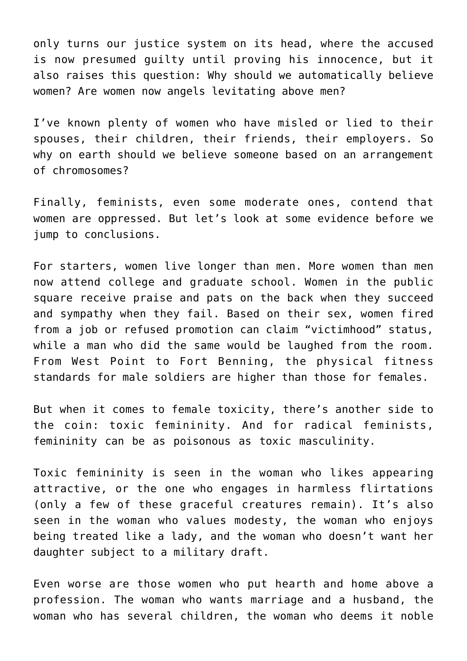only turns our justice system on its head, where the accused is now presumed guilty until proving his innocence, but it also raises this question: Why should we automatically believe women? Are women now angels levitating above men?

I've known plenty of women who have misled or lied to their spouses, their children, their friends, their employers. So why on earth should we believe someone based on an arrangement of chromosomes?

Finally, feminists, even some moderate ones, contend that women are oppressed. But let's look at some evidence before we jump to conclusions.

For starters, women live longer than men. More women than men now attend college and graduate school. Women in the public square receive praise and pats on the back when they succeed and sympathy when they fail. Based on their sex, women fired from a job or refused promotion can claim "victimhood" status, while a man who did the same would be laughed from the room. From West Point to Fort Benning, the physical fitness standards for male soldiers are higher than those for females.

But when it comes to female toxicity, there's another side to the coin: toxic femininity. And for radical feminists, femininity can be as poisonous as toxic masculinity.

Toxic femininity is seen in the woman who likes appearing attractive, or the one who engages in harmless flirtations (only a few of these graceful creatures remain). It's also seen in the woman who values modesty, the woman who enjoys being treated like a lady, and the woman who doesn't want her daughter subject to a military draft.

Even worse are those women who put hearth and home above a profession. The woman who wants marriage and a husband, the woman who has several children, the woman who deems it noble